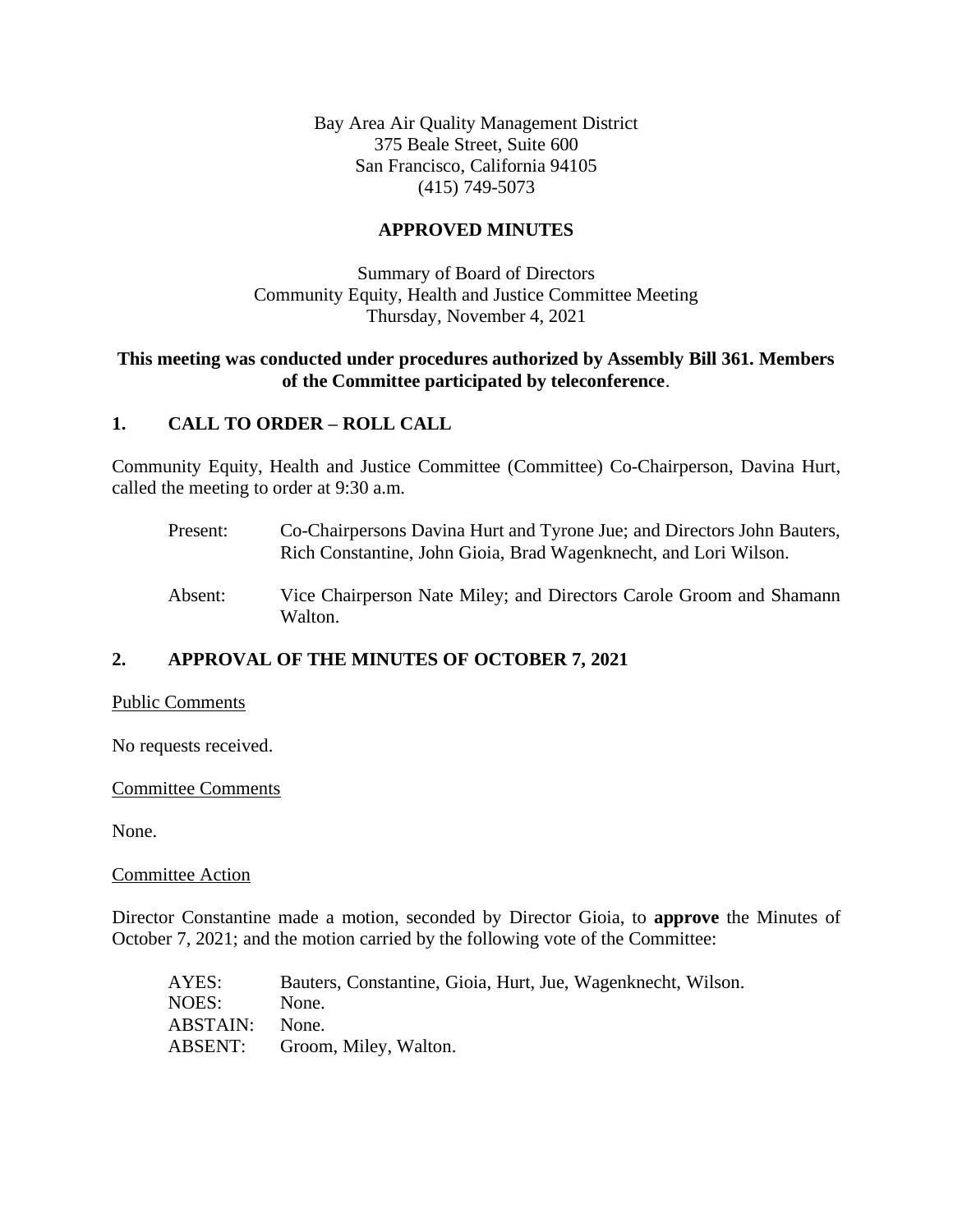Bay Area Air Quality Management District 375 Beale Street, Suite 600 San Francisco, California 94105 (415) 749-5073

## **APPROVED MINUTES**

Summary of Board of Directors Community Equity, Health and Justice Committee Meeting Thursday, November 4, 2021

## **This meeting was conducted under procedures authorized by Assembly Bill 361. Members of the Committee participated by teleconference**.

## **1. CALL TO ORDER – ROLL CALL**

Community Equity, Health and Justice Committee (Committee) Co-Chairperson, Davina Hurt, called the meeting to order at 9:30 a.m.

- Present: Co-Chairpersons Davina Hurt and Tyrone Jue; and Directors John Bauters, Rich Constantine, John Gioia, Brad Wagenknecht, and Lori Wilson.
- Absent: Vice Chairperson Nate Miley; and Directors Carole Groom and Shamann Walton.

# **2. APPROVAL OF THE MINUTES OF OCTOBER 7, 2021**

## Public Comments

No requests received.

#### Committee Comments

None.

Committee Action

Director Constantine made a motion, seconded by Director Gioia, to **approve** the Minutes of October 7, 2021; and the motion carried by the following vote of the Committee:

| AYES:    | Bauters, Constantine, Gioia, Hurt, Jue, Wagenknecht, Wilson. |
|----------|--------------------------------------------------------------|
| NOES:    | None.                                                        |
| ABSTAIN: | None.                                                        |
|          | ABSENT: Groom, Miley, Walton.                                |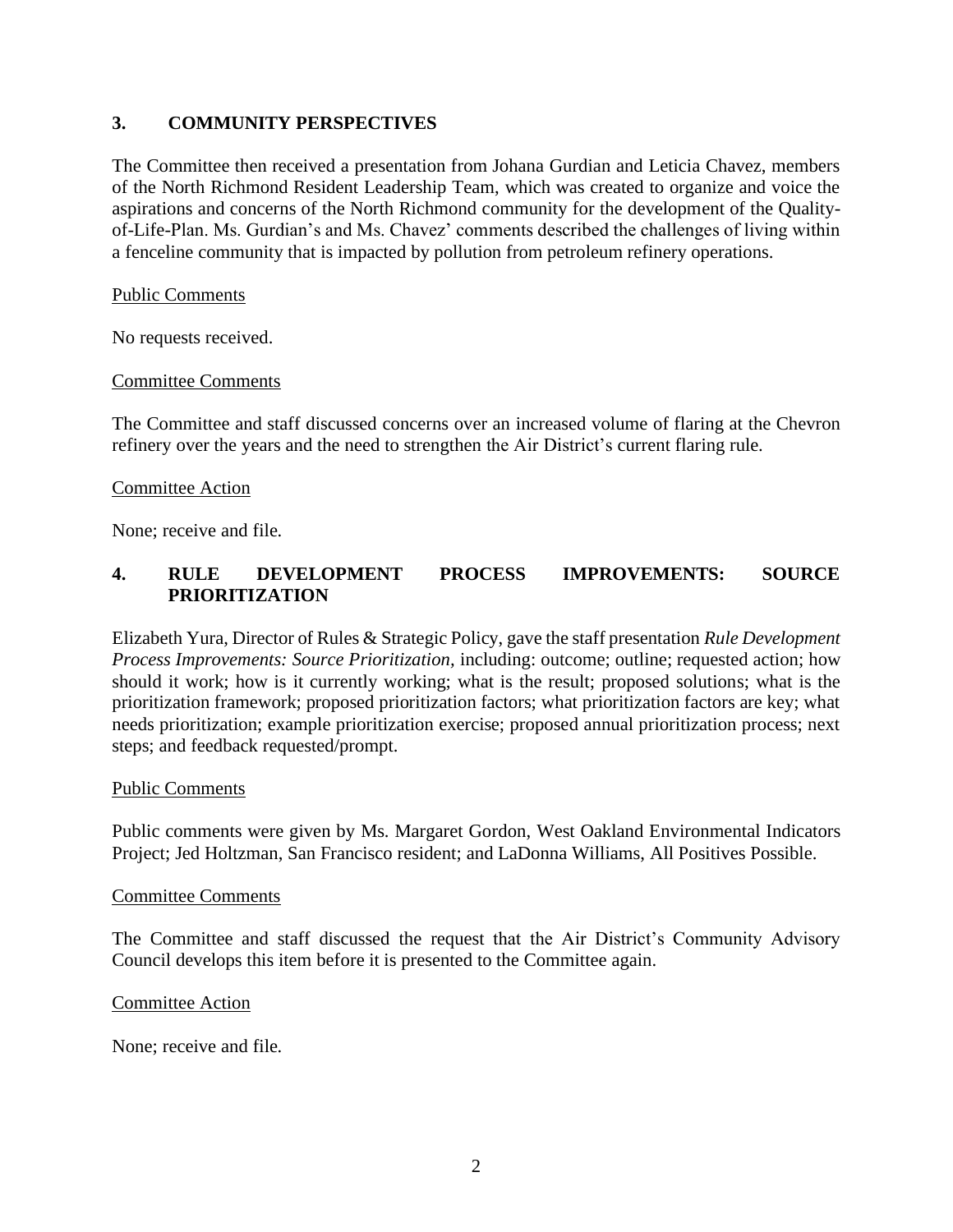# **3. COMMUNITY PERSPECTIVES**

The Committee then received a presentation from Johana Gurdian and Leticia Chavez, members of the North Richmond Resident Leadership Team, which was created to organize and voice the aspirations and concerns of the North Richmond community for the development of the Qualityof-Life-Plan. Ms. Gurdian's and Ms. Chavez' comments described the challenges of living within a fenceline community that is impacted by pollution from petroleum refinery operations.

### Public Comments

No requests received.

#### Committee Comments

The Committee and staff discussed concerns over an increased volume of flaring at the Chevron refinery over the years and the need to strengthen the Air District's current flaring rule.

#### Committee Action

None; receive and file.

# **4. RULE DEVELOPMENT PROCESS IMPROVEMENTS: SOURCE PRIORITIZATION**

Elizabeth Yura, Director of Rules & Strategic Policy, gave the staff presentation *Rule Development Process Improvements: Source Prioritization,* including: outcome; outline; requested action; how should it work; how is it currently working; what is the result; proposed solutions; what is the prioritization framework; proposed prioritization factors; what prioritization factors are key; what needs prioritization; example prioritization exercise; proposed annual prioritization process; next steps; and feedback requested/prompt.

#### Public Comments

Public comments were given by Ms. Margaret Gordon, West Oakland Environmental Indicators Project; Jed Holtzman, San Francisco resident; and LaDonna Williams, All Positives Possible.

#### Committee Comments

The Committee and staff discussed the request that the Air District's Community Advisory Council develops this item before it is presented to the Committee again.

#### Committee Action

None; receive and file.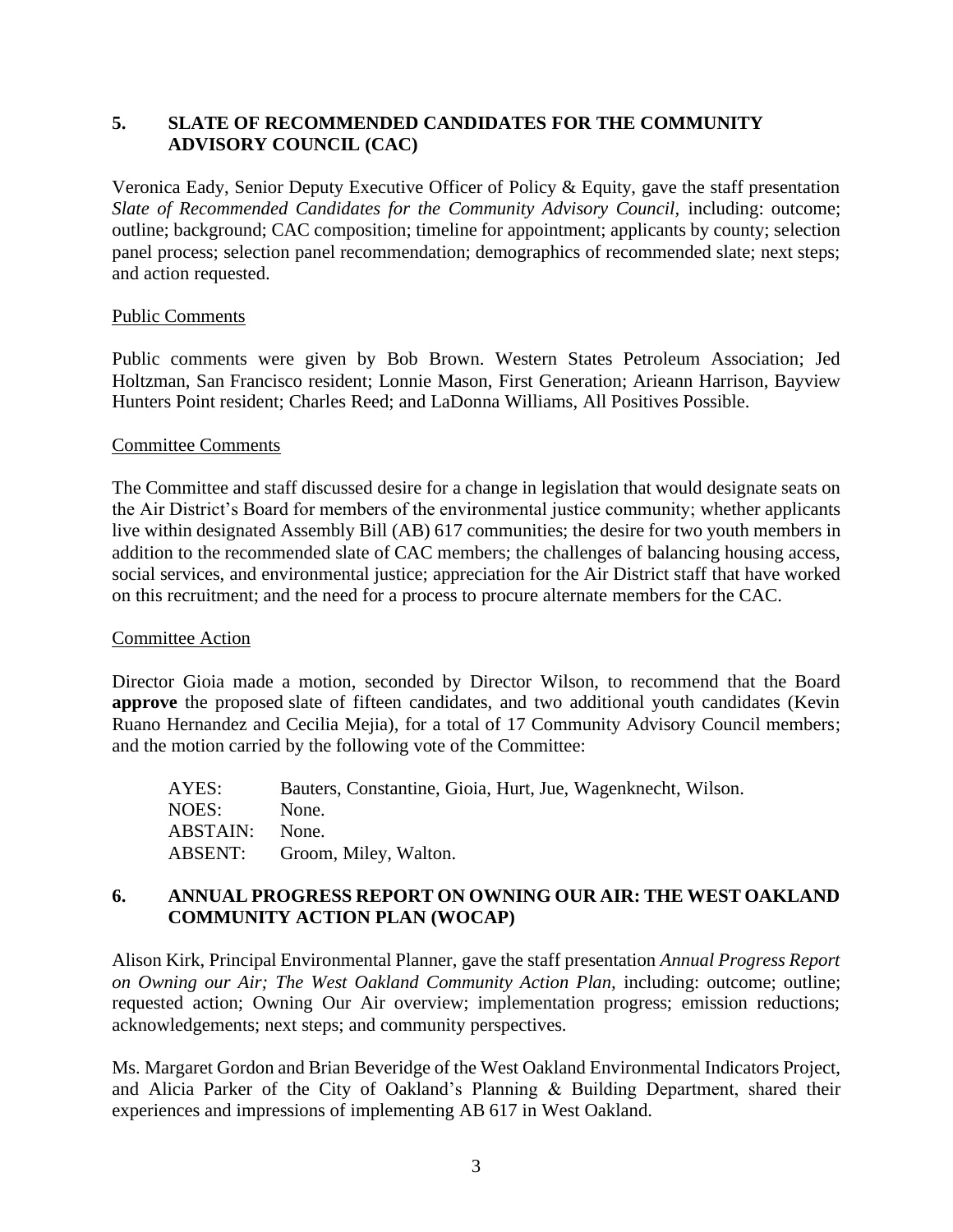# **5. SLATE OF RECOMMENDED CANDIDATES FOR THE COMMUNITY ADVISORY COUNCIL (CAC)**

Veronica Eady, Senior Deputy Executive Officer of Policy & Equity, gave the staff presentation Slate of Recommended Candidates for the Community Advisory Council, including: outcome; outline; background; CAC composition; timeline for appointment; applicants by county; selection panel process; selection panel recommendation; demographics of recommended slate; next steps; and action requested.

## Public Comments

Public comments were given by Bob Brown. Western States Petroleum Association; Jed Holtzman, San Francisco resident; Lonnie Mason, First Generation; Arieann Harrison, Bayview Hunters Point resident; Charles Reed; and LaDonna Williams, All Positives Possible.

#### Committee Comments

The Committee and staff discussed desire for a change in legislation that would designate seats on the Air District's Board for members of the environmental justice community; whether applicants live within designated Assembly Bill (AB) 617 communities; the desire for two youth members in addition to the recommended slate of CAC members; the challenges of balancing housing access, social services, and environmental justice; appreciation for the Air District staff that have worked on this recruitment; and the need for a process to procure alternate members for the CAC.

## Committee Action

Director Gioia made a motion, seconded by Director Wilson, to recommend that the Board **approve** the proposed slate of fifteen candidates, and two additional youth candidates (Kevin Ruano Hernandez and Cecilia Mejia), for a total of 17 Community Advisory Council members; and the motion carried by the following vote of the Committee:

| AYES:           | Bauters, Constantine, Gioia, Hurt, Jue, Wagenknecht, Wilson. |
|-----------------|--------------------------------------------------------------|
| NOES:           | None.                                                        |
| <b>ABSTAIN:</b> | None.                                                        |
|                 | ABSENT: Groom, Miley, Walton.                                |

# **6. ANNUAL PROGRESS REPORT ON OWNING OUR AIR: THE WEST OAKLAND COMMUNITY ACTION PLAN (WOCAP)**

Alison Kirk, Principal Environmental Planner, gave the staff presentation *Annual Progress Report on Owning our Air; The West Oakland Community Action Plan, including: outcome; outline;* requested action; Owning Our Air overview; implementation progress; emission reductions; acknowledgements; next steps; and community perspectives.

Ms. Margaret Gordon and Brian Beveridge of the West Oakland Environmental Indicators Project, and Alicia Parker of the City of Oakland's Planning & Building Department, shared their experiences and impressions of implementing AB 617 in West Oakland.